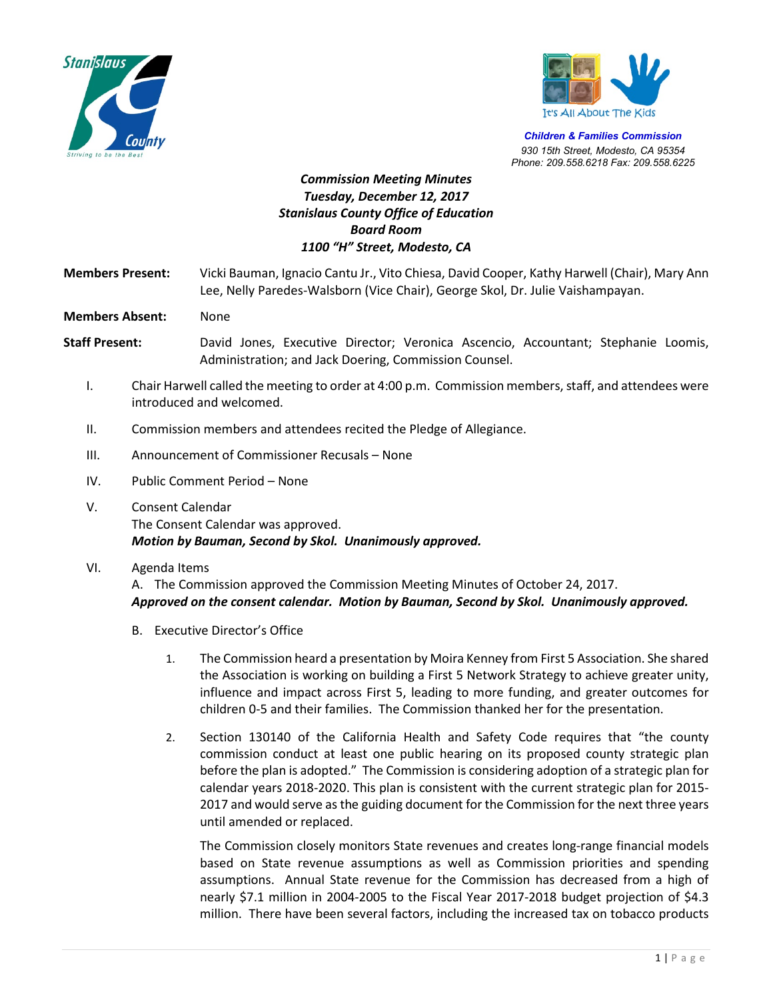



*Children & Families Commission 930 15th Street, Modesto, CA 95354 Phone: 209.558.6218 Fax: 209.558.6225*

## *Commission Meeting Minutes Tuesday, December 12, 2017 Stanislaus County Office of Education Board Room 1100 "H" Street, Modesto, CA*

**Members Present:** Vicki Bauman, Ignacio Cantu Jr., Vito Chiesa, David Cooper, Kathy Harwell (Chair), Mary Ann Lee, Nelly Paredes-Walsborn (Vice Chair), George Skol, Dr. Julie Vaishampayan.

**Members Absent:** None

- **Staff Present:** David Jones, Executive Director; Veronica Ascencio, Accountant; Stephanie Loomis, Administration; and Jack Doering, Commission Counsel.
	- I. Chair Harwell called the meeting to order at 4:00 p.m. Commission members, staff, and attendees were introduced and welcomed.
	- II. Commission members and attendees recited the Pledge of Allegiance.
	- III. Announcement of Commissioner Recusals None
	- IV. Public Comment Period None
	- V. Consent Calendar The Consent Calendar was approved. *Motion by Bauman, Second by Skol. Unanimously approved.*
	- VI. Agenda Items

A. The Commission approved the Commission Meeting Minutes of October 24, 2017. *Approved on the consent calendar. Motion by Bauman, Second by Skol. Unanimously approved.*

- B. Executive Director's Office
	- 1. The Commission heard a presentation by Moira Kenney from First 5 Association. She shared the Association is working on building a First 5 Network Strategy to achieve greater unity, influence and impact across First 5, leading to more funding, and greater outcomes for children 0-5 and their families. The Commission thanked her for the presentation.
	- 2. Section 130140 of the California Health and Safety Code requires that "the county commission conduct at least one public hearing on its proposed county strategic plan before the plan is adopted." The Commission is considering adoption of a strategic plan for calendar years 2018-2020. This plan is consistent with the current strategic plan for 2015- 2017 and would serve as the guiding document for the Commission for the next three years until amended or replaced.

The Commission closely monitors State revenues and creates long-range financial models based on State revenue assumptions as well as Commission priorities and spending assumptions. Annual State revenue for the Commission has decreased from a high of nearly \$7.1 million in 2004-2005 to the Fiscal Year 2017-2018 budget projection of \$4.3 million. There have been several factors, including the increased tax on tobacco products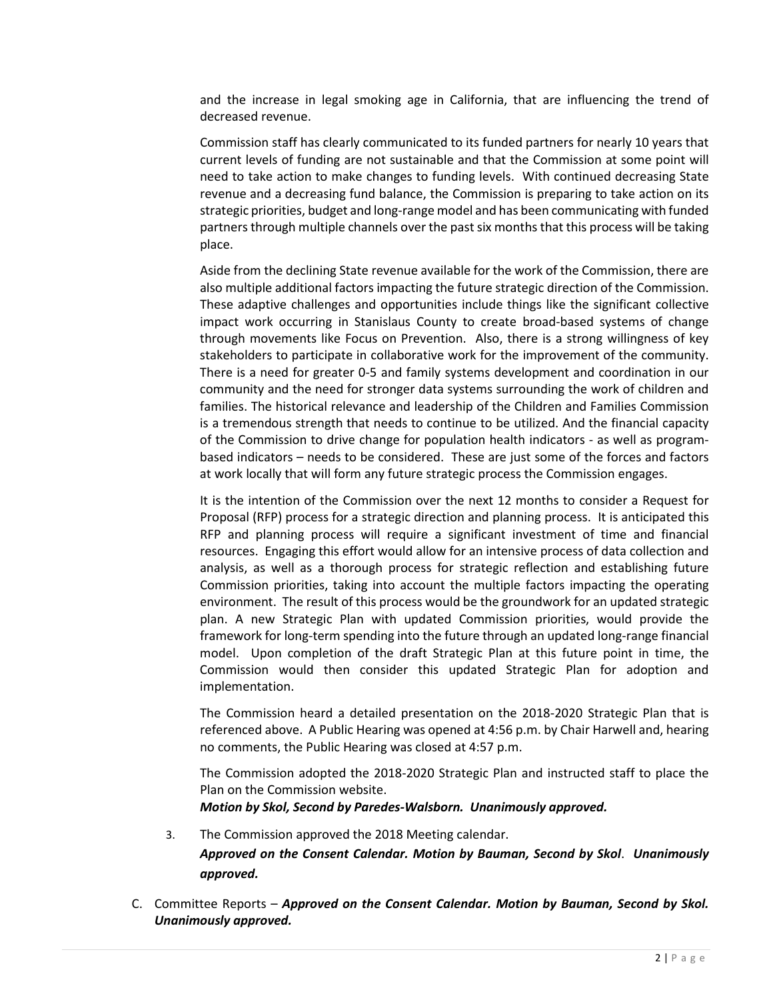and the increase in legal smoking age in California, that are influencing the trend of decreased revenue.

Commission staff has clearly communicated to its funded partners for nearly 10 years that current levels of funding are not sustainable and that the Commission at some point will need to take action to make changes to funding levels. With continued decreasing State revenue and a decreasing fund balance, the Commission is preparing to take action on its strategic priorities, budget and long-range model and has been communicating with funded partners through multiple channels over the past six months that this process will be taking place.

Aside from the declining State revenue available for the work of the Commission, there are also multiple additional factors impacting the future strategic direction of the Commission. These adaptive challenges and opportunities include things like the significant collective impact work occurring in Stanislaus County to create broad-based systems of change through movements like Focus on Prevention. Also, there is a strong willingness of key stakeholders to participate in collaborative work for the improvement of the community. There is a need for greater 0-5 and family systems development and coordination in our community and the need for stronger data systems surrounding the work of children and families. The historical relevance and leadership of the Children and Families Commission is a tremendous strength that needs to continue to be utilized. And the financial capacity of the Commission to drive change for population health indicators - as well as programbased indicators – needs to be considered. These are just some of the forces and factors at work locally that will form any future strategic process the Commission engages.

It is the intention of the Commission over the next 12 months to consider a Request for Proposal (RFP) process for a strategic direction and planning process. It is anticipated this RFP and planning process will require a significant investment of time and financial resources. Engaging this effort would allow for an intensive process of data collection and analysis, as well as a thorough process for strategic reflection and establishing future Commission priorities, taking into account the multiple factors impacting the operating environment. The result of this process would be the groundwork for an updated strategic plan. A new Strategic Plan with updated Commission priorities, would provide the framework for long-term spending into the future through an updated long-range financial model. Upon completion of the draft Strategic Plan at this future point in time, the Commission would then consider this updated Strategic Plan for adoption and implementation.

The Commission heard a detailed presentation on the 2018-2020 Strategic Plan that is referenced above. A Public Hearing was opened at 4:56 p.m. by Chair Harwell and, hearing no comments, the Public Hearing was closed at 4:57 p.m.

The Commission adopted the 2018-2020 Strategic Plan and instructed staff to place the Plan on the Commission website.

*Motion by Skol, Second by Paredes-Walsborn. Unanimously approved.*

3. The Commission approved the 2018 Meeting calendar.

*Approved on the Consent Calendar. Motion by Bauman, Second by Skol*. *Unanimously approved.*

C. Committee Reports – *Approved on the Consent Calendar. Motion by Bauman, Second by Skol. Unanimously approved.*